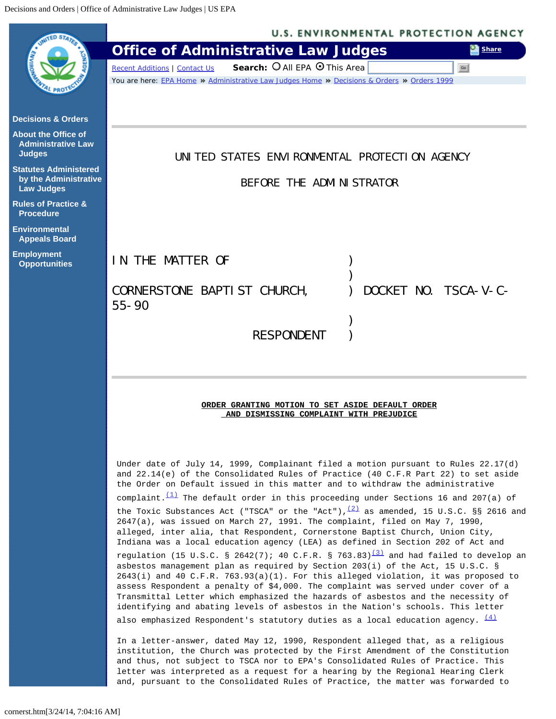<span id="page-0-0"></span>

|                                                                            | <b>U.S. ENVIRONMENTAL PROTECTION AGENCY</b>                                                                                                                                                                                                                                                                                                                                                                                                                                                                                          |
|----------------------------------------------------------------------------|--------------------------------------------------------------------------------------------------------------------------------------------------------------------------------------------------------------------------------------------------------------------------------------------------------------------------------------------------------------------------------------------------------------------------------------------------------------------------------------------------------------------------------------|
|                                                                            | <b>Office of Administrative Law Judges</b><br><b>Share</b>                                                                                                                                                                                                                                                                                                                                                                                                                                                                           |
|                                                                            | Search: O All EPA O This Area<br>Go<br><b>Recent Additions   Contact Us</b>                                                                                                                                                                                                                                                                                                                                                                                                                                                          |
|                                                                            | You are here: EPA Home » Administrative Law Judges Home » Decisions & Orders » Orders 1999                                                                                                                                                                                                                                                                                                                                                                                                                                           |
| <b>Decisions &amp; Orders</b>                                              |                                                                                                                                                                                                                                                                                                                                                                                                                                                                                                                                      |
| <b>About the Office of</b><br><b>Administrative Law</b><br><b>Judges</b>   | UNITED STATES ENVIRONMENTAL PROTECTION AGENCY                                                                                                                                                                                                                                                                                                                                                                                                                                                                                        |
| <b>Statutes Administered</b><br>by the Administrative<br><b>Law Judges</b> | BEFORE THE ADMINISTRATOR                                                                                                                                                                                                                                                                                                                                                                                                                                                                                                             |
| <b>Rules of Practice &amp;</b><br><b>Procedure</b>                         |                                                                                                                                                                                                                                                                                                                                                                                                                                                                                                                                      |
| <b>Environmental</b><br><b>Appeals Board</b>                               |                                                                                                                                                                                                                                                                                                                                                                                                                                                                                                                                      |
| <b>Employment</b><br><b>Opportunities</b>                                  | IN THE MATTER OF                                                                                                                                                                                                                                                                                                                                                                                                                                                                                                                     |
|                                                                            | DOCKET NO. TSCA-V-C-<br>CORNERSTONE BAPTI ST CHURCH,<br>$55 - 90$                                                                                                                                                                                                                                                                                                                                                                                                                                                                    |
|                                                                            |                                                                                                                                                                                                                                                                                                                                                                                                                                                                                                                                      |
|                                                                            | <b>RESPONDENT</b>                                                                                                                                                                                                                                                                                                                                                                                                                                                                                                                    |
|                                                                            |                                                                                                                                                                                                                                                                                                                                                                                                                                                                                                                                      |
|                                                                            | ORDER GRANTING MOTION TO SET ASIDE DEFAULT ORDER<br>AND DISMISSING COMPLAINT WITH PREJUDICE                                                                                                                                                                                                                                                                                                                                                                                                                                          |
|                                                                            | Under date of July 14, 1999, Complainant filed a motion pursuant to Rules 22.17(d)<br>and 22.14(e) of the Consolidated Rules of Practice (40 C.F.R Part 22) to set aside<br>the Order on Default issued in this matter and to withdraw the administrative<br>complaint. $\frac{(1)}{(1)}$ The default order in this proceeding under Sections 16 and 207(a) of                                                                                                                                                                       |
|                                                                            | the Toxic Substances Act ("TSCA" or the "Act"), $\frac{(2)}{2}$ as amended, 15 U.S.C. §§ 2616 and<br>2647(a), was issued on March 27, 1991. The complaint, filed on May 7, 1990,<br>alleged, inter alia, that Respondent, Cornerstone Baptist Church, Union City,<br>Indiana was a local education agency (LEA) as defined in Section 202 of Act and                                                                                                                                                                                 |
|                                                                            | regulation (15 U.S.C. § 2642(7); 40 C.F.R. § 763.83) <sup>(3)</sup> and had failed to develop an<br>asbestos management plan as required by Section 203(i) of the Act, 15 U.S.C. §<br>2643(i) and 40 C.F.R. 763.93(a)(1). For this alleged violation, it was proposed to<br>assess Respondent a penalty of \$4,000. The complaint was served under cover of a<br>Transmittal Letter which emphasized the hazards of asbestos and the necessity of<br>identifying and abating levels of asbestos in the Nation's schools. This letter |
|                                                                            | also emphasized Respondent's statutory duties as a local education agency. $\frac{(4)}{(4)}$                                                                                                                                                                                                                                                                                                                                                                                                                                         |
|                                                                            | In a letter-answer, dated May 12, 1990, Respondent alleged that, as a religious<br>institution, the Church was protected by the First Amendment of the Constitution<br>and thus, not subject to TSCA nor to EPA's Consolidated Rules of Practice. This<br>letter was interpreted as a request for a hearing by the Regional Hearing Clerk<br>and, pursuant to the Consolidated Rules of Practice, the matter was forwarded to                                                                                                        |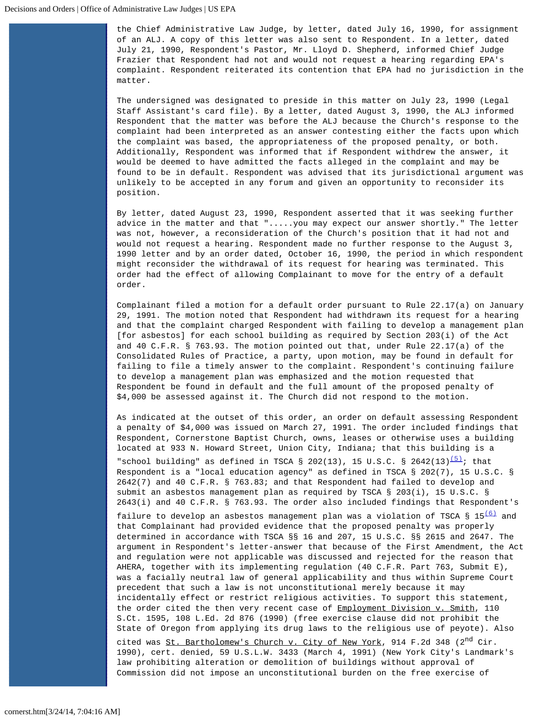the Chief Administrative Law Judge, by letter, dated July 16, 1990, for assignment of an ALJ. A copy of this letter was also sent to Respondent. In a letter, dated July 21, 1990, Respondent's Pastor, Mr. Lloyd D. Shepherd, informed Chief Judge Frazier that Respondent had not and would not request a hearing regarding EPA's complaint. Respondent reiterated its contention that EPA had no jurisdiction in the matter.

The undersigned was designated to preside in this matter on July 23, 1990 (Legal Staff Assistant's card file). By a letter, dated August 3, 1990, the ALJ informed Respondent that the matter was before the ALJ because the Church's response to the complaint had been interpreted as an answer contesting either the facts upon which the complaint was based, the appropriateness of the proposed penalty, or both. Additionally, Respondent was informed that if Respondent withdrew the answer, it would be deemed to have admitted the facts alleged in the complaint and may be found to be in default. Respondent was advised that its jurisdictional argument was unlikely to be accepted in any forum and given an opportunity to reconsider its position.

By letter, dated August 23, 1990, Respondent asserted that it was seeking further advice in the matter and that ".....you may expect our answer shortly." The letter was not, however, a reconsideration of the Church's position that it had not and would not request a hearing. Respondent made no further response to the August 3, 1990 letter and by an order dated, October 16, 1990, the period in which respondent might reconsider the withdrawal of its request for hearing was terminated. This order had the effect of allowing Complainant to move for the entry of a default order.

Complainant filed a motion for a default order pursuant to Rule 22.17(a) on January 29, 1991. The motion noted that Respondent had withdrawn its request for a hearing and that the complaint charged Respondent with failing to develop a management plan [for asbestos] for each school building as required by Section 203(i) of the Act and 40 C.F.R. § 763.93. The motion pointed out that, under Rule 22.17(a) of the Consolidated Rules of Practice, a party, upon motion, may be found in default for failing to file a timely answer to the complaint. Respondent's continuing failure to develop a management plan was emphasized and the motion requested that Respondent be found in default and the full amount of the proposed penalty of \$4,000 be assessed against it. The Church did not respond to the motion.

As indicated at the outset of this order, an order on default assessing Respondent a penalty of \$4,000 was issued on March 27, 1991. The order included findings that Respondent, Cornerstone Baptist Church, owns, leases or otherwise uses a building located at 933 N. Howard Street, Union City, Indiana; that this building is a "school building" as defined in TSCA § 202(13), 15 U.S.C. § 2642(13) $\frac{(5)}{2}$  $\frac{(5)}{2}$  $\frac{(5)}{2}$ ; that

 Respondent is a "local education agency" as defined in TSCA § 202(7), 15 U.S.C. § 2642(7) and 40 C.F.R. § 763.83; and that Respondent had failed to develop and submit an asbestos management plan as required by TSCA § 203(i), 15 U.S.C. § 2643(i) and 40 C.F.R. § 763.93. The order also included findings that Respondent's

failure to develop an asbestos management plan was a violation of TSCA §  $15\frac{(6)}{2}$  $15\frac{(6)}{2}$  $15\frac{(6)}{2}$  and that Complainant had provided evidence that the proposed penalty was properly determined in accordance with TSCA §§ 16 and 207, 15 U.S.C. §§ 2615 and 2647. The argument in Respondent's letter-answer that because of the First Amendment, the Act and regulation were not applicable was discussed and rejected for the reason that AHERA, together with its implementing regulation (40 C.F.R. Part 763, Submit E), was a facially neutral law of general applicability and thus within Supreme Court precedent that such a law is not unconstitutional merely because it may incidentally effect or restrict religious activities. To support this statement, the order cited the then very recent case of Employment Division v. Smith, 110 S.Ct. 1595, 108 L.Ed. 2d 876 (1990) (free exercise clause did not prohibit the State of Oregon from applying its drug laws to the religious use of peyote). Also cited was St. Bartholomew's Church v. City of New York, 914 F.2d 348 (2<sup>nd</sup> Cir. 1990), cert. denied, 59 U.S.L.W. 3433 (March 4, 1991) (New York City's Landmark's law prohibiting alteration or demolition of buildings without approval of Commission did not impose an unconstitutional burden on the free exercise of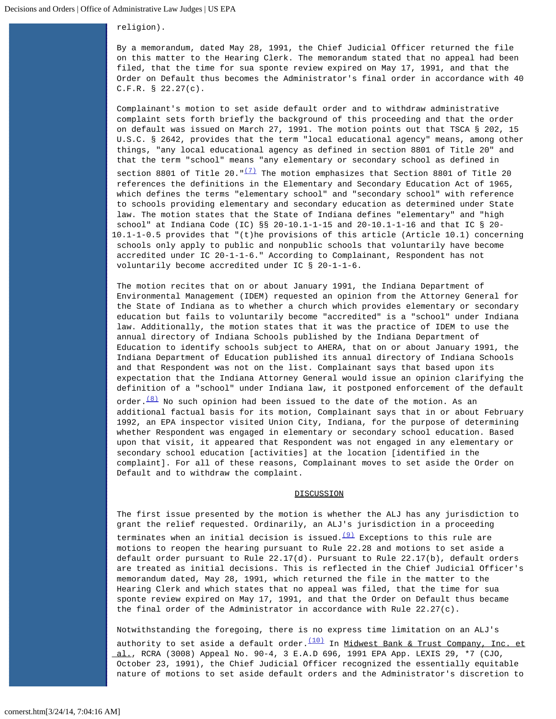## religion).

By a memorandum, dated May 28, 1991, the Chief Judicial Officer returned the file on this matter to the Hearing Clerk. The memorandum stated that no appeal had been filed, that the time for sua sponte review expired on May 17, 1991, and that the Order on Default thus becomes the Administrator's final order in accordance with 40 C.F.R. § 22.27(c).

Complainant's motion to set aside default order and to withdraw administrative complaint sets forth briefly the background of this proceeding and that the order on default was issued on March 27, 1991. The motion points out that TSCA § 202, 15 U.S.C. § 2642, provides that the term "local educational agency" means, among other things, "any local educational agency as defined in section 8801 of Title 20" and that the term "school" means "any elementary or secondary school as defined in section 8801 of Title 20." $\frac{(7)}{2}$  $\frac{(7)}{2}$  $\frac{(7)}{2}$  The motion emphasizes that Section 8801 of Title 20 references the definitions in the Elementary and Secondary Education Act of 1965, which defines the terms "elementary school" and "secondary school" with reference to schools providing elementary and secondary education as determined under State law. The motion states that the State of Indiana defines "elementary" and "high school" at Indiana Code (IC) §§ 20-10.1-1-15 and 20-10.1-1-16 and that IC § 20- 10.1-1-0.5 provides that "(t)he provisions of this article (Article 10.1) concerning schools only apply to public and nonpublic schools that voluntarily have become accredited under IC 20-1-1-6." According to Complainant, Respondent has not voluntarily become accredited under IC § 20-1-1-6.

The motion recites that on or about January 1991, the Indiana Department of Environmental Management (IDEM) requested an opinion from the Attorney General for the State of Indiana as to whether a church which provides elementary or secondary education but fails to voluntarily become "accredited" is a "school" under Indiana law. Additionally, the motion states that it was the practice of IDEM to use the annual directory of Indiana Schools published by the Indiana Department of Education to identify schools subject to AHERA, that on or about January 1991, the Indiana Department of Education published its annual directory of Indiana Schools and that Respondent was not on the list. Complainant says that based upon its expectation that the Indiana Attorney General would issue an opinion clarifying the definition of a "school" under Indiana law, it postponed enforcement of the default

order. $\frac{(8)}{8}$  $\frac{(8)}{8}$  $\frac{(8)}{8}$  No such opinion had been issued to the date of the motion. As an additional factual basis for its motion, Complainant says that in or about February 1992, an EPA inspector visited Union City, Indiana, for the purpose of determining whether Respondent was engaged in elementary or secondary school education. Based upon that visit, it appeared that Respondent was not engaged in any elementary or secondary school education [activities] at the location [identified in the complaint]. For all of these reasons, Complainant moves to set aside the Order on Default and to withdraw the complaint.

## **DISCUSSION**

The first issue presented by the motion is whether the ALJ has any jurisdiction to grant the relief requested. Ordinarily, an ALJ's jurisdiction in a proceeding

terminates when an initial decision is issued. $\frac{(9)}{2}$  $\frac{(9)}{2}$  $\frac{(9)}{2}$  Exceptions to this rule are motions to reopen the hearing pursuant to Rule 22.28 and motions to set aside a default order pursuant to Rule 22.17(d). Pursuant to Rule 22.17(b), default orders are treated as initial decisions. This is reflected in the Chief Judicial Officer's memorandum dated, May 28, 1991, which returned the file in the matter to the Hearing Clerk and which states that no appeal was filed, that the time for sua sponte review expired on May 17, 1991, and that the Order on Default thus became the final order of the Administrator in accordance with Rule 22.27(c).

Notwithstanding the foregoing, there is no express time limitation on an ALJ's authority to set aside a default order. $\frac{(10)}{10}$  $\frac{(10)}{10}$  $\frac{(10)}{10}$  In Midwest Bank & Trust Company, Inc. et al., RCRA (3008) Appeal No. 90-4, 3 E.A.D 696, 1991 EPA App. LEXIS 29, \*7 (CJO, October 23, 1991), the Chief Judicial Officer recognized the essentially equitable nature of motions to set aside default orders and the Administrator's discretion to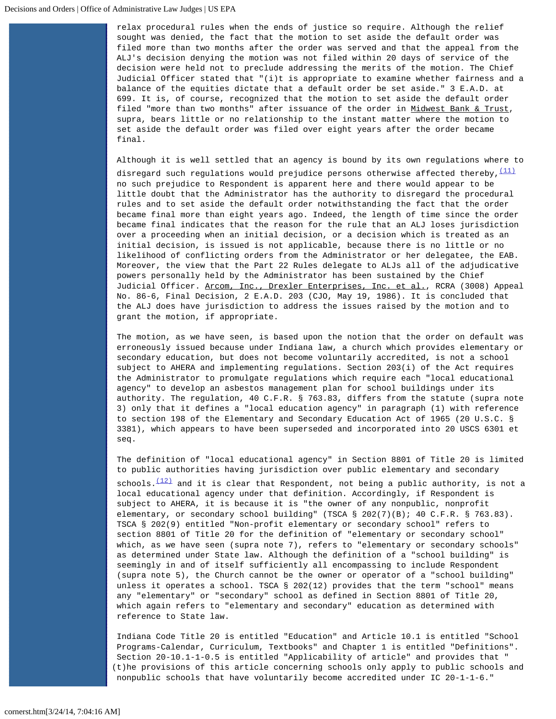relax procedural rules when the ends of justice so require. Although the relief sought was denied, the fact that the motion to set aside the default order was filed more than two months after the order was served and that the appeal from the ALJ's decision denying the motion was not filed within 20 days of service of the decision were held not to preclude addressing the merits of the motion. The Chief Judicial Officer stated that "(i)t is appropriate to examine whether fairness and a balance of the equities dictate that a default order be set aside." 3 E.A.D. at 699. It is, of course, recognized that the motion to set aside the default order filed "more than two months" after issuance of the order in Midwest Bank & Trust, supra, bears little or no relationship to the instant matter where the motion to set aside the default order was filed over eight years after the order became final.

Although it is well settled that an agency is bound by its own regulations where to

disregard such regulations would prejudice persons otherwise affected thereby,  $\frac{(11)}{(11)}$  $\frac{(11)}{(11)}$  $\frac{(11)}{(11)}$  no such prejudice to Respondent is apparent here and there would appear to be little doubt that the Administrator has the authority to disregard the procedural rules and to set aside the default order notwithstanding the fact that the order became final more than eight years ago. Indeed, the length of time since the order became final indicates that the reason for the rule that an ALJ loses jurisdiction over a proceeding when an initial decision, or a decision which is treated as an initial decision, is issued is not applicable, because there is no little or no likelihood of conflicting orders from the Administrator or her delegatee, the EAB. Moreover, the view that the Part 22 Rules delegate to ALJs all of the adjudicative powers personally held by the Administrator has been sustained by the Chief Judicial Officer. Arcom, Inc., Drexler Enterprises, Inc. et al., RCRA (3008) Appeal No. 86-6, Final Decision, 2 E.A.D. 203 (CJO, May 19, 1986). It is concluded that the ALJ does have jurisdiction to address the issues raised by the motion and to grant the motion, if appropriate.

The motion, as we have seen, is based upon the notion that the order on default was erroneously issued because under Indiana law, a church which provides elementary or secondary education, but does not become voluntarily accredited, is not a school subject to AHERA and implementing regulations. Section 203(i) of the Act requires the Administrator to promulgate regulations which require each "local educational agency" to develop an asbestos management plan for school buildings under its authority. The regulation, 40 C.F.R. § 763.83, differs from the statute (supra note 3) only that it defines a "local education agency" in paragraph (1) with reference to section 198 of the Elementary and Secondary Education Act of 1965 (20 U.S.C. § 3381), which appears to have been superseded and incorporated into 20 USCS 6301 et seq.

The definition of "local educational agency" in Section 8801 of Title 20 is limited to public authorities having jurisdiction over public elementary and secondary schools. $(12)$  and it is clear that Respondent, not being a public authority, is not a local educational agency under that definition. Accordingly, if Respondent is subject to AHERA, it is because it is "the owner of any nonpublic, nonprofit elementary, or secondary school building" (TSCA § 202(7)(B); 40 C.F.R. § 763.83). TSCA § 202(9) entitled "Non-profit elementary or secondary school" refers to section 8801 of Title 20 for the definition of "elementary or secondary school" which, as we have seen (supra note 7), refers to "elementary or secondary schools" as determined under State law. Although the definition of a "school building" is seemingly in and of itself sufficiently all encompassing to include Respondent (supra note 5), the Church cannot be the owner or operator of a "school building" unless it operates a school. TSCA § 202(12) provides that the term "school" means any "elementary" or "secondary" school as defined in Section 8801 of Title 20, which again refers to "elementary and secondary" education as determined with reference to State law.

Indiana Code Title 20 is entitled "Education" and Article 10.1 is entitled "School Programs-Calendar, Curriculum, Textbooks" and Chapter 1 is entitled "Definitions". Section 20-10.1-1-0.5 is entitled "Applicability of article" and provides that " (t)he provisions of this article concerning schools only apply to public schools and nonpublic schools that have voluntarily become accredited under IC 20-1-1-6."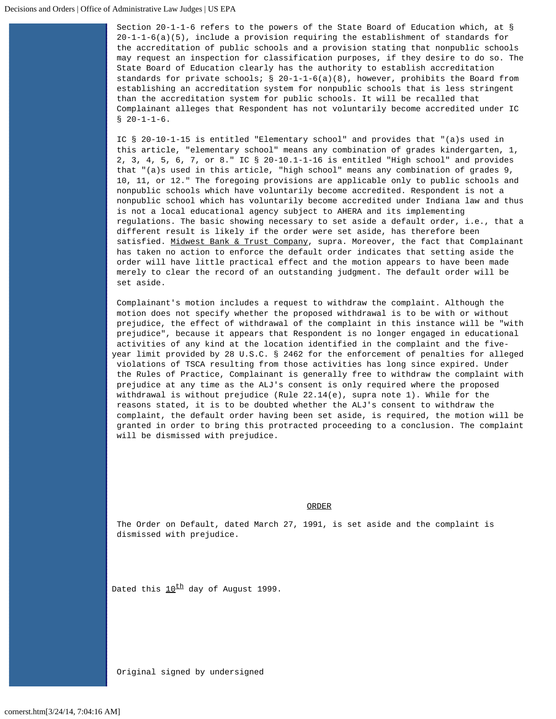Section 20-1-1-6 refers to the powers of the State Board of Education which, at § 20-1-1-6(a)(5), include a provision requiring the establishment of standards for the accreditation of public schools and a provision stating that nonpublic schools may request an inspection for classification purposes, if they desire to do so. The State Board of Education clearly has the authority to establish accreditation standards for private schools; § 20-1-1-6(a)(8), however, prohibits the Board from establishing an accreditation system for nonpublic schools that is less stringent than the accreditation system for public schools. It will be recalled that Complainant alleges that Respondent has not voluntarily become accredited under IC  $$ 20-1-1-6.$ 

IC § 20-10-1-15 is entitled "Elementary school" and provides that "(a)s used in this article, "elementary school" means any combination of grades kindergarten, 1, 2, 3, 4, 5, 6, 7, or 8." IC § 20-10.1-1-16 is entitled "High school" and provides that "(a)s used in this article, "high school" means any combination of grades 9, 10, 11, or 12." The foregoing provisions are applicable only to public schools and nonpublic schools which have voluntarily become accredited. Respondent is not a nonpublic school which has voluntarily become accredited under Indiana law and thus is not a local educational agency subject to AHERA and its implementing regulations. The basic showing necessary to set aside a default order, i.e., that a different result is likely if the order were set aside, has therefore been satisfied. Midwest Bank & Trust Company, supra. Moreover, the fact that Complainant has taken no action to enforce the default order indicates that setting aside the order will have little practical effect and the motion appears to have been made merely to clear the record of an outstanding judgment. The default order will be set aside.

Complainant's motion includes a request to withdraw the complaint. Although the motion does not specify whether the proposed withdrawal is to be with or without prejudice, the effect of withdrawal of the complaint in this instance will be "with prejudice", because it appears that Respondent is no longer engaged in educational activities of any kind at the location identified in the complaint and the fiveyear limit provided by 28 U.S.C. § 2462 for the enforcement of penalties for alleged violations of TSCA resulting from those activities has long since expired. Under the Rules of Practice, Complainant is generally free to withdraw the complaint with prejudice at any time as the ALJ's consent is only required where the proposed withdrawal is without prejudice (Rule 22.14(e), supra note 1). While for the reasons stated, it is to be doubted whether the ALJ's consent to withdraw the complaint, the default order having been set aside, is required, the motion will be granted in order to bring this protracted proceeding to a conclusion. The complaint will be dismissed with prejudice.

## ORDER

The Order on Default, dated March 27, 1991, is set aside and the complaint is dismissed with prejudice.

Dated this  $10^{th}$  day of August 1999.

Original signed by undersigned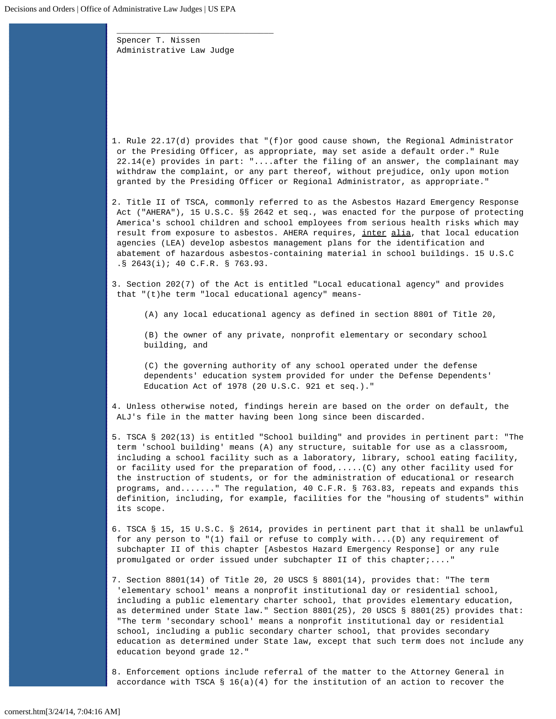Spencer T. Nissen Administrative Law Judge

 $\overline{\phantom{a}}$  , and the contract of the contract of the contract of  $\overline{\phantom{a}}$ 

<span id="page-5-0"></span>1. Rule 22.17(d) provides that "(f)or good cause shown, the Regional Administrator or the Presiding Officer, as appropriate, may set aside a default order." Rule 22.14(e) provides in part: "....after the filing of an answer, the complainant may withdraw the complaint, or any part thereof, without prejudice, only upon motion granted by the Presiding Officer or Regional Administrator, as appropriate."

<span id="page-5-1"></span>2. Title II of TSCA, commonly referred to as the Asbestos Hazard Emergency Response Act ("AHERA"), 15 U.S.C. §§ 2642 et seq., was enacted for the purpose of protecting America's school children and school employees from serious health risks which may result from exposure to asbestos. AHERA requires, inter alia, that local education agencies (LEA) develop asbestos management plans for the identification and abatement of hazardous asbestos-containing material in school buildings. 15 U.S.C .§ 2643(i); 40 C.F.R. § 763.93.

<span id="page-5-2"></span>3. Section 202(7) of the Act is entitled "Local educational agency" and provides that "(t)he term "local educational agency" means-

(A) any local educational agency as defined in section 8801 of Title 20,

(B) the owner of any private, nonprofit elementary or secondary school building, and

(C) the governing authority of any school operated under the defense dependents' education system provided for under the Defense Dependents' Education Act of 1978 (20 U.S.C. 921 et seq.)."

<span id="page-5-3"></span>4. Unless otherwise noted, findings herein are based on the order on default, the ALJ's file in the matter having been long since been discarded.

<span id="page-5-4"></span>5. TSCA § 202(13) is entitled "School building" and provides in pertinent part: "The term 'school building' means (A) any structure, suitable for use as a classroom, including a school facility such as a laboratory, library, school eating facility, or facility used for the preparation of food,.....(C) any other facility used for the instruction of students, or for the administration of educational or research programs, and......." The regulation, 40 C.F.R. § 763.83, repeats and expands this definition, including, for example, facilities for the "housing of students" within its scope.

<span id="page-5-5"></span>6. TSCA § 15, 15 U.S.C. § 2614, provides in pertinent part that it shall be unlawful for any person to "(1) fail or refuse to comply with....(D) any requirement of subchapter II of this chapter [Asbestos Hazard Emergency Response] or any rule promulgated or order issued under subchapter II of this chapter;...."

<span id="page-5-6"></span>7. Section 8801(14) of Title 20, 20 USCS § 8801(14), provides that: "The term 'elementary school' means a nonprofit institutional day or residential school, including a public elementary charter school, that provides elementary education, as determined under State law." Section 8801(25), 20 USCS § 8801(25) provides that: "The term 'secondary school' means a nonprofit institutional day or residential school, including a public secondary charter school, that provides secondary education as determined under State law, except that such term does not include any education beyond grade 12."

<span id="page-5-7"></span>8. Enforcement options include referral of the matter to the Attorney General in accordance with TSCA § 16(a)(4) for the institution of an action to recover the